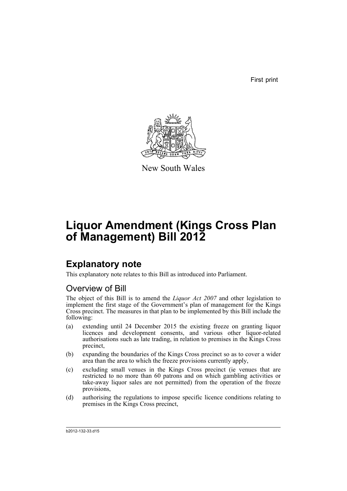First print



New South Wales

# **Liquor Amendment (Kings Cross Plan of Management) Bill 2012**

## **Explanatory note**

This explanatory note relates to this Bill as introduced into Parliament.

## Overview of Bill

The object of this Bill is to amend the *Liquor Act 2007* and other legislation to implement the first stage of the Government's plan of management for the Kings Cross precinct. The measures in that plan to be implemented by this Bill include the following:

- (a) extending until 24 December 2015 the existing freeze on granting liquor licences and development consents, and various other liquor-related authorisations such as late trading, in relation to premises in the Kings Cross precinct,
- (b) expanding the boundaries of the Kings Cross precinct so as to cover a wider area than the area to which the freeze provisions currently apply,
- (c) excluding small venues in the Kings Cross precinct (ie venues that are restricted to no more than 60 patrons and on which gambling activities or take-away liquor sales are not permitted) from the operation of the freeze provisions,
- (d) authorising the regulations to impose specific licence conditions relating to premises in the Kings Cross precinct,

b2012-132-33.d15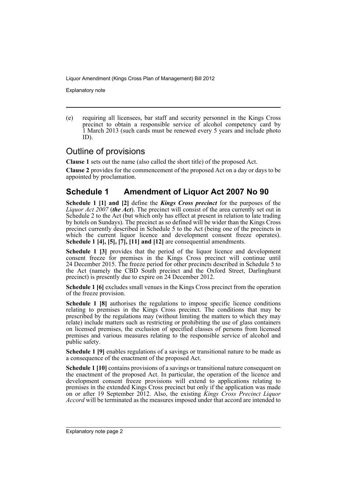Explanatory note

(e) requiring all licensees, bar staff and security personnel in the Kings Cross precinct to obtain a responsible service of alcohol competency card by 1 March 2013 (such cards must be renewed every 5 years and include photo ID).

## Outline of provisions

**Clause 1** sets out the name (also called the short title) of the proposed Act.

**Clause 2** provides for the commencement of the proposed Act on a day or days to be appointed by proclamation.

## **Schedule 1 Amendment of Liquor Act 2007 No 90**

**Schedule 1 [1] and [2]** define the *Kings Cross precinct* for the purposes of the *Liquor Act 2007* (*the Act*). The precinct will consist of the area currently set out in Schedule 2 to the Act (but which only has effect at present in relation to late trading by hotels on Sundays). The precinct as so defined will be wider than the Kings Cross precinct currently described in Schedule 5 to the Act (being one of the precincts in which the current liquor licence and development consent freeze operates). **Schedule 1 [4], [5], [7], [11] and [12]** are consequential amendments.

**Schedule 1 [3]** provides that the period of the liquor licence and development consent freeze for premises in the Kings Cross precinct will continue until 24 December 2015. The freeze period for other precincts described in Schedule 5 to the Act (namely the CBD South precinct and the Oxford Street, Darlinghurst precinct) is presently due to expire on 24 December 2012.

**Schedule 1 [6]** excludes small venues in the Kings Cross precinct from the operation of the freeze provision.

**Schedule 1 [8]** authorises the regulations to impose specific licence conditions relating to premises in the Kings Cross precinct. The conditions that may be prescribed by the regulations may (without limiting the matters to which they may relate) include matters such as restricting or prohibiting the use of glass containers on licensed premises, the exclusion of specified classes of persons from licensed premises and various measures relating to the responsible service of alcohol and public safety.

**Schedule 1 [9]** enables regulations of a savings or transitional nature to be made as a consequence of the enactment of the proposed Act.

**Schedule 1 [10]** contains provisions of a savings or transitional nature consequent on the enactment of the proposed Act. In particular, the operation of the licence and development consent freeze provisions will extend to applications relating to premises in the extended Kings Cross precinct but only if the application was made on or after 19 September 2012. Also, the existing *Kings Cross Precinct Liquor Accord* will be terminated as the measures imposed under that accord are intended to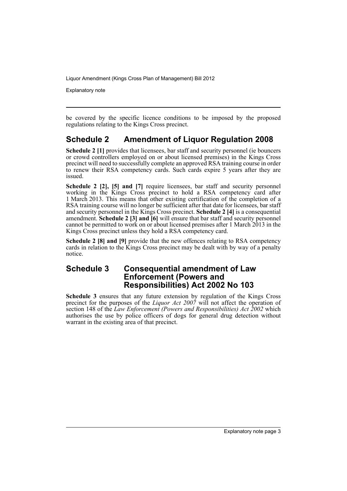Explanatory note

be covered by the specific licence conditions to be imposed by the proposed regulations relating to the Kings Cross precinct.

## **Schedule 2 Amendment of Liquor Regulation 2008**

**Schedule 2 [1]** provides that licensees, bar staff and security personnel (ie bouncers or crowd controllers employed on or about licensed premises) in the Kings Cross precinct will need to successfully complete an approved RSA training course in order to renew their RSA competency cards. Such cards expire 5 years after they are issued.

**Schedule 2 [2], [5] and [7]** require licensees, bar staff and security personnel working in the Kings Cross precinct to hold a RSA competency card after 1 March 2013. This means that other existing certification of the completion of a RSA training course will no longer be sufficient after that date for licensees, bar staff and security personnel in the Kings Cross precinct. **Schedule 2 [4]** is a consequential amendment. **Schedule 2 [3] and [6]** will ensure that bar staff and security personnel cannot be permitted to work on or about licensed premises after 1 March 2013 in the Kings Cross precinct unless they hold a RSA competency card.

**Schedule 2 [8] and [9]** provide that the new offences relating to RSA competency cards in relation to the Kings Cross precinct may be dealt with by way of a penalty notice.

## **Schedule 3 Consequential amendment of Law Enforcement (Powers and Responsibilities) Act 2002 No 103**

**Schedule 3** ensures that any future extension by regulation of the Kings Cross precinct for the purposes of the *Liquor Act 2007* will not affect the operation of section 148 of the *Law Enforcement (Powers and Responsibilities) Act 2002* which authorises the use by police officers of dogs for general drug detection without warrant in the existing area of that precinct.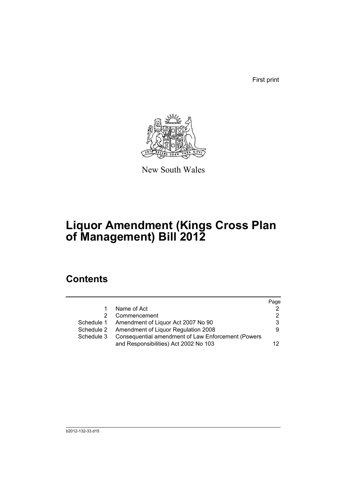First print



New South Wales

# **Liquor Amendment (Kings Cross Plan of Management) Bill 2012**

## **Contents**

|               |                                                    | Page            |
|---------------|----------------------------------------------------|-----------------|
| 1.            | Name of Act                                        | 2               |
| $\mathcal{P}$ | Commencement                                       | 2               |
|               | Schedule 1 Amendment of Liquor Act 2007 No 90      | 3               |
|               | Schedule 2 Amendment of Liquor Regulation 2008     | 9               |
| Schedule 3    | Consequential amendment of Law Enforcement (Powers |                 |
|               | and Responsibilities) Act 2002 No 103              | 12 <sub>1</sub> |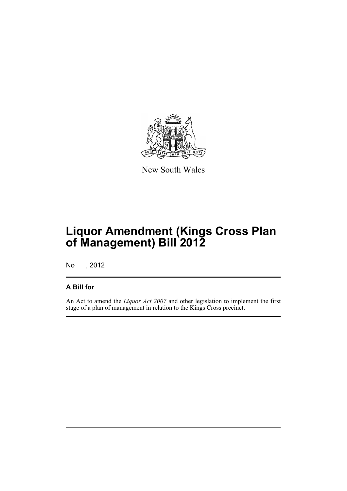

New South Wales

# **Liquor Amendment (Kings Cross Plan of Management) Bill 2012**

No , 2012

## **A Bill for**

An Act to amend the *Liquor Act 2007* and other legislation to implement the first stage of a plan of management in relation to the Kings Cross precinct.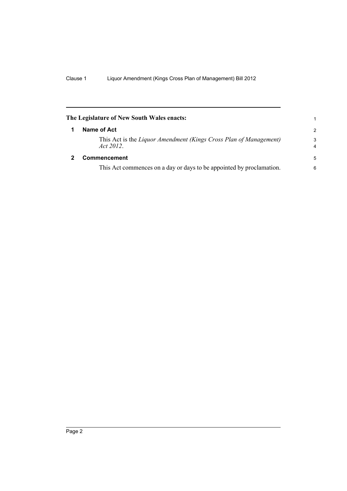<span id="page-7-1"></span><span id="page-7-0"></span>

| The Legislature of New South Wales enacts: |                                                                                |                     |  |  |
|--------------------------------------------|--------------------------------------------------------------------------------|---------------------|--|--|
|                                            | Name of Act                                                                    | 2                   |  |  |
|                                            | This Act is the Liquor Amendment (Kings Cross Plan of Management)<br>Act 2012. | 3<br>$\overline{4}$ |  |  |
| 2                                          | Commencement                                                                   | 5                   |  |  |
|                                            | This Act commences on a day or days to be appointed by proclamation.           | 6                   |  |  |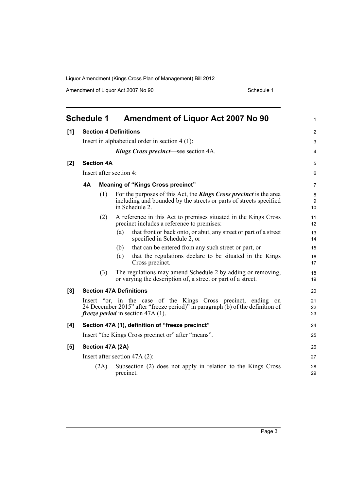Amendment of Liquor Act 2007 No 90 Schedule 1

<span id="page-8-0"></span>

|     | <b>Schedule 1</b>                                |                   |                         | <b>Amendment of Liquor Act 2007 No 90</b>                                                                                                                                                       | $\mathbf{1}$   |  |
|-----|--------------------------------------------------|-------------------|-------------------------|-------------------------------------------------------------------------------------------------------------------------------------------------------------------------------------------------|----------------|--|
| [1] | <b>Section 4 Definitions</b>                     |                   |                         |                                                                                                                                                                                                 |                |  |
|     | Insert in alphabetical order in section $4(1)$ : |                   |                         |                                                                                                                                                                                                 |                |  |
|     | <b>Kings Cross precinct—see section 4A.</b>      |                   |                         |                                                                                                                                                                                                 |                |  |
| [2] |                                                  | <b>Section 4A</b> |                         |                                                                                                                                                                                                 | 5              |  |
|     |                                                  |                   | Insert after section 4: |                                                                                                                                                                                                 | 6              |  |
|     | <b>4A</b>                                        |                   |                         | <b>Meaning of "Kings Cross precinct"</b>                                                                                                                                                        | 7              |  |
|     |                                                  | (1)               |                         | For the purposes of this Act, the <b>Kings Cross precinct</b> is the area<br>including and bounded by the streets or parts of streets specified<br>in Schedule 2.                               | 8<br>9<br>10   |  |
|     |                                                  | (2)               |                         | A reference in this Act to premises situated in the Kings Cross<br>precinct includes a reference to premises:                                                                                   | 11<br>12       |  |
|     |                                                  |                   | (a)                     | that front or back onto, or abut, any street or part of a street<br>specified in Schedule 2, or                                                                                                 | 13<br>14       |  |
|     |                                                  |                   | (b)                     | that can be entered from any such street or part, or                                                                                                                                            | 15             |  |
|     |                                                  |                   | (c)                     | that the regulations declare to be situated in the Kings<br>Cross precinct.                                                                                                                     | 16<br>17       |  |
|     |                                                  | (3)               |                         | The regulations may amend Schedule 2 by adding or removing,<br>or varying the description of, a street or part of a street.                                                                     | 18<br>19       |  |
| [3] |                                                  |                   |                         | <b>Section 47A Definitions</b>                                                                                                                                                                  | 20             |  |
|     |                                                  |                   |                         | Insert "or, in the case of the Kings Cross precinct, ending<br>on<br>24 December 2015" after "freeze period)" in paragraph (b) of the definition of<br><i>freeze period</i> in section 47A (1). | 21<br>22<br>23 |  |
| [4] |                                                  |                   |                         | Section 47A (1), definition of "freeze precinct"                                                                                                                                                | 24             |  |
|     |                                                  |                   |                         | Insert "the Kings Cross precinct or" after "means".                                                                                                                                             | 25             |  |
| [5] |                                                  |                   | Section 47A (2A)        |                                                                                                                                                                                                 | 26             |  |
|     |                                                  |                   |                         | Insert after section $47A(2)$ :                                                                                                                                                                 | 27             |  |
|     |                                                  | (2A)              | precinct.               | Subsection (2) does not apply in relation to the Kings Cross                                                                                                                                    | 28<br>29       |  |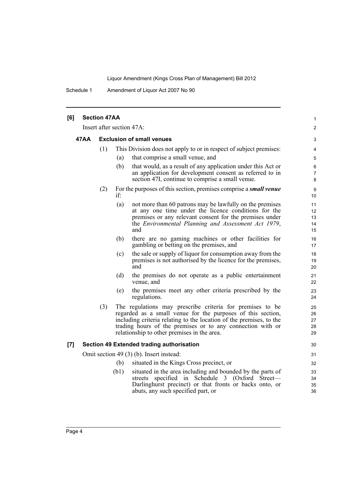Schedule 1 Amendment of Liquor Act 2007 No 90

| [6] |      | <b>Section 47AA</b> |                                                                                                                                                                                                                                                                                                              | 1                          |
|-----|------|---------------------|--------------------------------------------------------------------------------------------------------------------------------------------------------------------------------------------------------------------------------------------------------------------------------------------------------------|----------------------------|
|     |      |                     | Insert after section 47A:                                                                                                                                                                                                                                                                                    | $\overline{2}$             |
|     | 47AA |                     | <b>Exclusion of small venues</b>                                                                                                                                                                                                                                                                             | 3                          |
|     |      | (1)                 | This Division does not apply to or in respect of subject premises:                                                                                                                                                                                                                                           | 4                          |
|     |      |                     | (a)<br>that comprise a small venue, and                                                                                                                                                                                                                                                                      | 5                          |
|     |      |                     | (b)<br>that would, as a result of any application under this Act or<br>an application for development consent as referred to in<br>section 47I, continue to comprise a small venue.                                                                                                                          | 6<br>$\overline{7}$<br>8   |
|     |      | (2)                 | For the purposes of this section, premises comprise a <i>small venue</i><br>if:                                                                                                                                                                                                                              | 9<br>10 <sup>°</sup>       |
|     |      |                     | not more than 60 patrons may be lawfully on the premises<br>(a)<br>at any one time under the licence conditions for the<br>premises or any relevant consent for the premises under<br>the Environmental Planning and Assessment Act 1979,<br>and                                                             | 11<br>12<br>13<br>14<br>15 |
|     |      |                     | (b)<br>there are no gaming machines or other facilities for<br>gambling or betting on the premises, and                                                                                                                                                                                                      | 16<br>17                   |
|     |      |                     | the sale or supply of liquor for consumption away from the<br>(c)<br>premises is not authorised by the licence for the premises,<br>and                                                                                                                                                                      | 18<br>19<br>20             |
|     |      |                     | (d)<br>the premises do not operate as a public entertainment<br>venue, and                                                                                                                                                                                                                                   | 21<br>22                   |
|     |      |                     | the premises meet any other criteria prescribed by the<br>(e)<br>regulations.                                                                                                                                                                                                                                | 23<br>24                   |
|     |      | (3)                 | The regulations may prescribe criteria for premises to be<br>regarded as a small venue for the purposes of this section,<br>including criteria relating to the location of the premises, to the<br>trading hours of the premises or to any connection with or<br>relationship to other premises in the area. | 25<br>26<br>27<br>28<br>29 |
| [7] |      |                     | Section 49 Extended trading authorisation                                                                                                                                                                                                                                                                    | 30                         |
|     |      |                     | Omit section 49 (3) (b). Insert instead:                                                                                                                                                                                                                                                                     | 31                         |
|     |      |                     | situated in the Kings Cross precinct, or<br>(b)                                                                                                                                                                                                                                                              | 32                         |
|     |      |                     | (b1)<br>situated in the area including and bounded by the parts of<br>streets specified in Schedule 3 (Oxford Street-<br>Darlinghurst precinct) or that fronts or backs onto, or<br>abuts, any such specified part, or                                                                                       | 33<br>34<br>35<br>36       |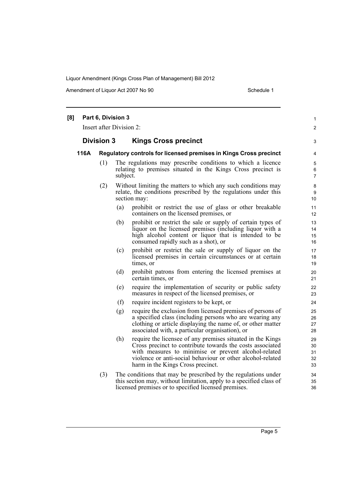Amendment of Liquor Act 2007 No 90 Schedule 1

| [8] |      | Part 6, Division 3<br>Insert after Division 2: |          |                                                                                                                                                                                                                                                                                    | 1<br>$\overline{c}$        |
|-----|------|------------------------------------------------|----------|------------------------------------------------------------------------------------------------------------------------------------------------------------------------------------------------------------------------------------------------------------------------------------|----------------------------|
|     |      | <b>Division 3</b>                              |          | <b>Kings Cross precinct</b>                                                                                                                                                                                                                                                        | 3                          |
|     | 116A |                                                |          | Regulatory controls for licensed premises in Kings Cross precinct                                                                                                                                                                                                                  | 4                          |
|     |      | (1)                                            | subject. | The regulations may prescribe conditions to which a licence<br>relating to premises situated in the Kings Cross precinct is                                                                                                                                                        | 5<br>6<br>$\overline{7}$   |
|     |      | (2)                                            |          | Without limiting the matters to which any such conditions may<br>relate, the conditions prescribed by the regulations under this<br>section may:                                                                                                                                   | 8<br>9<br>10               |
|     |      |                                                | (a)      | prohibit or restrict the use of glass or other breakable<br>containers on the licensed premises, or                                                                                                                                                                                | 11<br>12                   |
|     |      |                                                | (b)      | prohibit or restrict the sale or supply of certain types of<br>liquor on the licensed premises (including liquor with a<br>high alcohol content or liquor that is intended to be<br>consumed rapidly such as a shot), or                                                           | 13<br>14<br>15<br>16       |
|     |      |                                                | (c)      | prohibit or restrict the sale or supply of liquor on the<br>licensed premises in certain circumstances or at certain<br>times, or                                                                                                                                                  | 17<br>18<br>19             |
|     |      |                                                | (d)      | prohibit patrons from entering the licensed premises at<br>certain times, or                                                                                                                                                                                                       | 20<br>21                   |
|     |      |                                                | (e)      | require the implementation of security or public safety<br>measures in respect of the licensed premises, or                                                                                                                                                                        | 22<br>23                   |
|     |      |                                                | (f)      | require incident registers to be kept, or                                                                                                                                                                                                                                          | 24                         |
|     |      |                                                | (g)      | require the exclusion from licensed premises of persons of<br>a specified class (including persons who are wearing any<br>clothing or article displaying the name of, or other matter<br>associated with, a particular organisation), or                                           | 25<br>26<br>27<br>28       |
|     |      |                                                | (h)      | require the licensee of any premises situated in the Kings<br>Cross precinct to contribute towards the costs associated<br>with measures to minimise or prevent alcohol-related<br>violence or anti-social behaviour or other alcohol-related<br>harm in the Kings Cross precinct. | 29<br>30<br>31<br>32<br>33 |
|     |      | (3)                                            |          | The conditions that may be prescribed by the regulations under<br>this section may, without limitation, apply to a specified class of<br>licensed premises or to specified licensed premises.                                                                                      | 34<br>35<br>36             |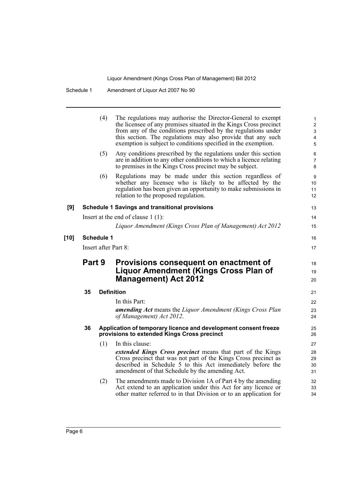|        |        | (4)               | The regulations may authorise the Director-General to exempt<br>the licensee of any premises situated in the Kings Cross precinct<br>from any of the conditions prescribed by the regulations under<br>this section. The regulations may also provide that any such<br>exemption is subject to conditions specified in the exemption. | $\mathbf{1}$<br>$\overline{\mathbf{c}}$<br>3<br>4<br>5 |
|--------|--------|-------------------|---------------------------------------------------------------------------------------------------------------------------------------------------------------------------------------------------------------------------------------------------------------------------------------------------------------------------------------|--------------------------------------------------------|
|        |        | (5)               | Any conditions prescribed by the regulations under this section<br>are in addition to any other conditions to which a licence relating<br>to premises in the Kings Cross precinct may be subject.                                                                                                                                     | 6<br>7<br>8                                            |
|        |        | (6)               | Regulations may be made under this section regardless of<br>whether any licensee who is likely to be affected by the<br>regulation has been given an opportunity to make submissions in<br>relation to the proposed regulation.                                                                                                       | 9<br>10<br>11<br>12                                    |
| [9]    |        |                   | <b>Schedule 1 Savings and transitional provisions</b>                                                                                                                                                                                                                                                                                 | 13                                                     |
|        |        |                   | Insert at the end of clause $1(1)$ :                                                                                                                                                                                                                                                                                                  | 14                                                     |
|        |        |                   | Liquor Amendment (Kings Cross Plan of Management) Act 2012                                                                                                                                                                                                                                                                            | 15                                                     |
| $[10]$ |        | <b>Schedule 1</b> |                                                                                                                                                                                                                                                                                                                                       | 16                                                     |
|        |        |                   | Insert after Part 8:                                                                                                                                                                                                                                                                                                                  | 17                                                     |
|        | Part 9 |                   | Provisions consequent on enactment of<br><b>Liquor Amendment (Kings Cross Plan of</b><br><b>Management) Act 2012</b>                                                                                                                                                                                                                  | 18<br>19<br>20                                         |
|        | 35     |                   | <b>Definition</b>                                                                                                                                                                                                                                                                                                                     | 21                                                     |
|        |        |                   | In this Part:                                                                                                                                                                                                                                                                                                                         | 22                                                     |
|        |        |                   | amending Act means the Liquor Amendment (Kings Cross Plan<br>of Management) Act 2012.                                                                                                                                                                                                                                                 | 23<br>24                                               |
|        | 36     |                   | Application of temporary licence and development consent freeze<br>provisions to extended Kings Cross precinct                                                                                                                                                                                                                        | 25<br>26                                               |
|        |        | (1)               | In this clause:                                                                                                                                                                                                                                                                                                                       | 27                                                     |
|        |        |                   | extended Kings Cross precinct means that part of the Kings<br>Cross precinct that was not part of the Kings Cross precinct as<br>described in Schedule 5 to this Act immediately before the<br>amendment of that Schedule by the amending Act.                                                                                        | 28<br>29<br>30<br>31                                   |
|        |        | (2)               | The amendments made to Division 1A of Part 4 by the amending<br>Act extend to an application under this Act for any licence or<br>other matter referred to in that Division or to an application for                                                                                                                                  | 32<br>33<br>34                                         |
|        |        |                   |                                                                                                                                                                                                                                                                                                                                       |                                                        |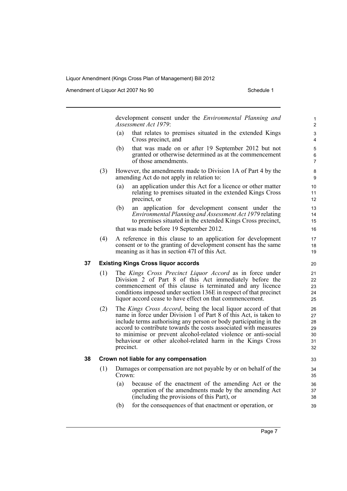Amendment of Liquor Act 2007 No 90 Schedule 1

development consent under the *Environmental Planning and Assessment Act 1979*: (a) that relates to premises situated in the extended Kings Cross precinct, and (b) that was made on or after 19 September 2012 but not granted or otherwise determined as at the commencement of those amendments. (3) However, the amendments made to Division 1A of Part 4 by the amending Act do not apply in relation to: (a) an application under this Act for a licence or other matter relating to premises situated in the extended Kings Cross precinct, or (b) an application for development consent under the *Environmental Planning and Assessment Act 1979* relating to premises situated in the extended Kings Cross precinct, that was made before 19 September 2012. (4) A reference in this clause to an application for development consent or to the granting of development consent has the same meaning as it has in section 47I of this Act. **37 Existing Kings Cross liquor accords** (1) The *Kings Cross Precinct Liquor Accord* as in force under Division 2 of Part 8 of this Act immediately before the commencement of this clause is terminated and any licence conditions imposed under section 136E in respect of that precinct liquor accord cease to have effect on that commencement. (2) The *Kings Cross Accord*, being the local liquor accord of that name in force under Division 1 of Part 8 of this Act, is taken to include terms authorising any person or body participating in the accord to contribute towards the costs associated with measures to minimise or prevent alcohol-related violence or anti-social behaviour or other alcohol-related harm in the Kings Cross precinct. **38 Crown not liable for any compensation** (1) Damages or compensation are not payable by or on behalf of the Crown: (a) because of the enactment of the amending Act or the operation of the amendments made by the amending Act (including the provisions of this Part), or (b) for the consequences of that enactment or operation, or 1 2 3 4 5 6 7 8 9 10 11 12 13 14 15 16 17 18 19  $20$ 21 22 23 24 25 26 27 28 29 30 31 32 33  $34$ 35 36 37 38 39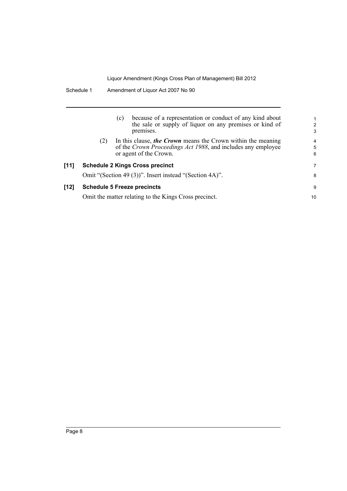|        |     | (c) | because of a representation or conduct of any kind about<br>the sale or supply of liquor on any premises or kind of<br>premises.                       | $\overline{c}$<br>3 |
|--------|-----|-----|--------------------------------------------------------------------------------------------------------------------------------------------------------|---------------------|
|        | (2) |     | In this clause, the Crown means the Crown within the meaning<br>of the Crown Proceedings Act 1988, and includes any employee<br>or agent of the Crown. | 4<br>5<br>6         |
| [11]   |     |     | <b>Schedule 2 Kings Cross precinct</b>                                                                                                                 | 7                   |
|        |     |     | Omit "(Section 49 (3))". Insert instead "(Section 4A)".                                                                                                | 8                   |
| $[12]$ |     |     | <b>Schedule 5 Freeze precincts</b>                                                                                                                     | 9                   |
|        |     |     | Omit the matter relating to the Kings Cross precinct.                                                                                                  | 10                  |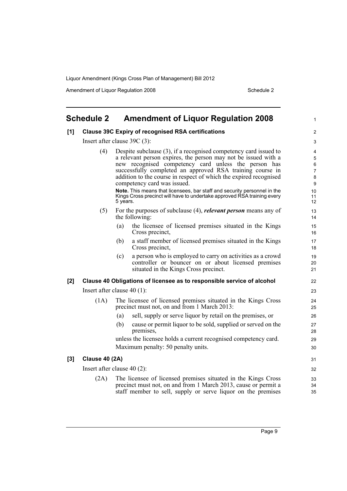Amendment of Liquor Regulation 2008 Schedule 2

<span id="page-14-0"></span>

| [1] |                       | <b>Clause 39C Expiry of recognised RSA certifications</b>                                                                                                                                                                                                                                                                                                   |  |
|-----|-----------------------|-------------------------------------------------------------------------------------------------------------------------------------------------------------------------------------------------------------------------------------------------------------------------------------------------------------------------------------------------------------|--|
|     |                       | Insert after clause $39C(3)$ :                                                                                                                                                                                                                                                                                                                              |  |
|     | (4)                   | Despite subclause (3), if a recognised competency card issued to<br>a relevant person expires, the person may not be issued with a<br>new recognised competency card unless the person has<br>successfully completed an approved RSA training course in<br>addition to the course in respect of which the expired recognised<br>competency card was issued. |  |
|     |                       | Note. This means that licensees, bar staff and security personnel in the<br>Kings Cross precinct will have to undertake approved RSA training every<br>5 years.                                                                                                                                                                                             |  |
|     | (5)                   | For the purposes of subclause $(4)$ , <i>relevant person</i> means any of<br>the following:                                                                                                                                                                                                                                                                 |  |
|     |                       | the licensee of licensed premises situated in the Kings<br>(a)<br>Cross precinct,                                                                                                                                                                                                                                                                           |  |
|     |                       | a staff member of licensed premises situated in the Kings<br>(b)<br>Cross precinct,                                                                                                                                                                                                                                                                         |  |
|     |                       | a person who is employed to carry on activities as a crowd<br>(c)<br>controller or bouncer on or about licensed premises<br>situated in the Kings Cross precinct.                                                                                                                                                                                           |  |
| [2] |                       | Clause 40 Obligations of licensee as to responsible service of alcohol                                                                                                                                                                                                                                                                                      |  |
|     |                       | Insert after clause $40(1)$ :                                                                                                                                                                                                                                                                                                                               |  |
|     | (1A)                  | The licensee of licensed premises situated in the Kings Cross<br>precinct must not, on and from 1 March 2013:                                                                                                                                                                                                                                               |  |
|     |                       | sell, supply or serve liquor by retail on the premises, or<br>(a)                                                                                                                                                                                                                                                                                           |  |
|     |                       | cause or permit liquor to be sold, supplied or served on the<br>(b)<br>premises,                                                                                                                                                                                                                                                                            |  |
|     |                       | unless the licensee holds a current recognised competency card.<br>Maximum penalty: 50 penalty units.                                                                                                                                                                                                                                                       |  |
| [3] | <b>Clause 40 (2A)</b> |                                                                                                                                                                                                                                                                                                                                                             |  |
|     |                       | Insert after clause $40(2)$ :                                                                                                                                                                                                                                                                                                                               |  |
|     | (2A)                  | The licensee of licensed premises situated in the Kings Cross<br>precinct must not, on and from 1 March 2013, cause or permit a<br>staff member to sell, supply or serve liquor on the premises                                                                                                                                                             |  |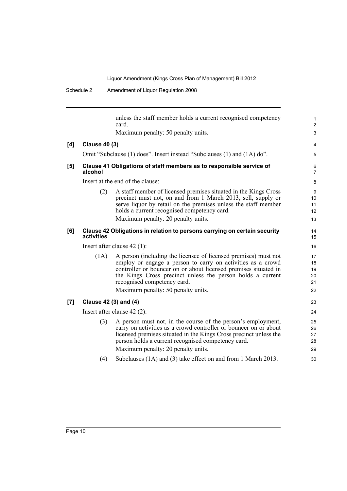|     |                       | unless the staff member holds a current recognised competency<br>card.                                                                                                                                                                                                                                                               | $\mathbf 1$<br>$\overline{2}$    |
|-----|-----------------------|--------------------------------------------------------------------------------------------------------------------------------------------------------------------------------------------------------------------------------------------------------------------------------------------------------------------------------------|----------------------------------|
|     |                       | Maximum penalty: 50 penalty units.                                                                                                                                                                                                                                                                                                   | 3                                |
| [4] | <b>Clause 40 (3)</b>  |                                                                                                                                                                                                                                                                                                                                      | 4                                |
|     |                       | Omit "Subclause (1) does". Insert instead "Subclauses (1) and (1A) do".                                                                                                                                                                                                                                                              | 5                                |
| [5] | alcohol               | Clause 41 Obligations of staff members as to responsible service of                                                                                                                                                                                                                                                                  | 6<br>$\overline{7}$              |
|     |                       | Insert at the end of the clause:                                                                                                                                                                                                                                                                                                     | 8                                |
|     | (2)                   | A staff member of licensed premises situated in the Kings Cross<br>precinct must not, on and from 1 March 2013, sell, supply or<br>serve liquor by retail on the premises unless the staff member<br>holds a current recognised competency card.<br>Maximum penalty: 20 penalty units.                                               | 9<br>10<br>11<br>12<br>13        |
| [6] | activities            | Clause 42 Obligations in relation to persons carrying on certain security                                                                                                                                                                                                                                                            | 14<br>15                         |
|     |                       | Insert after clause $42$ (1):                                                                                                                                                                                                                                                                                                        | 16                               |
|     | (1A)                  | A person (including the licensee of licensed premises) must not<br>employ or engage a person to carry on activities as a crowd<br>controller or bouncer on or about licensed premises situated in<br>the Kings Cross precinct unless the person holds a current<br>recognised competency card.<br>Maximum penalty: 50 penalty units. | 17<br>18<br>19<br>20<br>21<br>22 |
| [7] | Clause 42 (3) and (4) |                                                                                                                                                                                                                                                                                                                                      | 23                               |
|     |                       | Insert after clause $42(2)$ :                                                                                                                                                                                                                                                                                                        | 24                               |
|     | (3)                   | A person must not, in the course of the person's employment,<br>carry on activities as a crowd controller or bouncer on or about<br>licensed premises situated in the Kings Cross precinct unless the<br>person holds a current recognised competency card.<br>Maximum penalty: 20 penalty units.                                    | 25<br>26<br>27<br>28<br>29       |
|     | (4)                   | Subclauses (1A) and (3) take effect on and from 1 March 2013.                                                                                                                                                                                                                                                                        | 30                               |
|     |                       |                                                                                                                                                                                                                                                                                                                                      |                                  |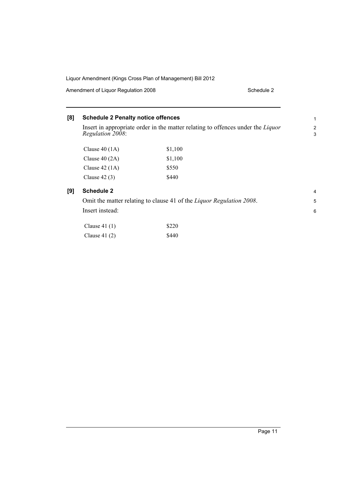Amendment of Liquor Regulation 2008 Schedule 2

### **[8] Schedule 2 Penalty notice offences**

Insert in appropriate order in the matter relating to offences under the *Liquor Regulation 2008*:

| Clause $40(1A)$ | \$1,100 |
|-----------------|---------|
| Clause $40(2A)$ | \$1,100 |
| Clause $42(1A)$ | \$550   |
| Clause $42(3)$  | \$440   |

#### **[9] Schedule 2**

Omit the matter relating to clause 41 of the *Liquor Regulation 2008*. Insert instead:

| Clause $41(1)$ | \$220 |
|----------------|-------|
| Clause $41(2)$ | \$440 |

1 2 3

> 4 5

6